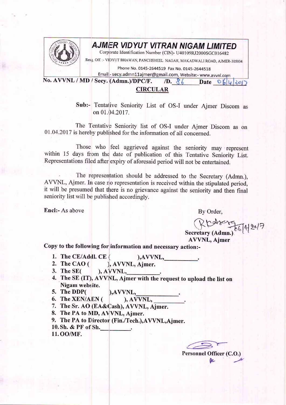

## **AJMER VIDYUT VITRAN NIGAM LIMITED**

Corporate Identification Number (CIN)- U40109RJ2000SGC016482

Resg. Off. :- VIDYUT BHAWAN, PANCHSHEEL NAGAR, MAKADWALI ROAD, AJMER-305004

Phone No. 0145-2644519 Fax No. 0145-2644518

Email - secy.admn11ajmer@gmail.com, Website:- www.avvnl.com No. AVVNL / MD / Secy. (Admn.)/DPC/F.  $\sqrt{D}$ ,  $86$ Date  $O_6|u|$   $|u|$ 

## **CIRCULAR**

Sub:- Tentative Seniority List of OS-I under Ajmer Discom as on 01.04.2017.

The Tentative Seniority list of OS-I under Ajmer Discom as on 01.04.2017 is hereby published for the information of all concerned.

Those who feel aggrieved against the seniority may represent within 15 days from the date of publication of this Tentative Seniority List. Representations filed after expiry of aforesaid period will not be entertained.

The representation should be addressed to the Secretary (Admn.), AVVNL, Ajmer. In case no representation is received within the stipulated period, it will be presumed that there is no grievance against the seniority and then final seniority list will be published accordingly.

**Encl:-** As above

By Order,

Rtdx 756742017

**AVVNL. Aimer** 

Copy to the following for information and necessary action:-

- 1. The CE/Addl. CE  $AVVNL$ ,
- 2. The CAO  $($ ), AVVNL, Ajmer.
- 3. The  $SE($  $A V V N L.$
- 4. The SE (IT), AVV|NL, Ajmer with the request to upload the list on Nigam website.

), AVVNL.

- 5. The DDP( ), AVVNL.
- 6. The XEN/AEN (
- 7. The Sr. AO (EA&Cash), AVVNL, Ajmer.
- 8. The PA to MD, AVVNL, Ajmer.
- 9. The PA to Director (Fin./Tech.), AVVNL, Ajmer.
- 10. Sh. & PF of Sh.
- 11.00/MF.

Personnel Officer (C.O.)